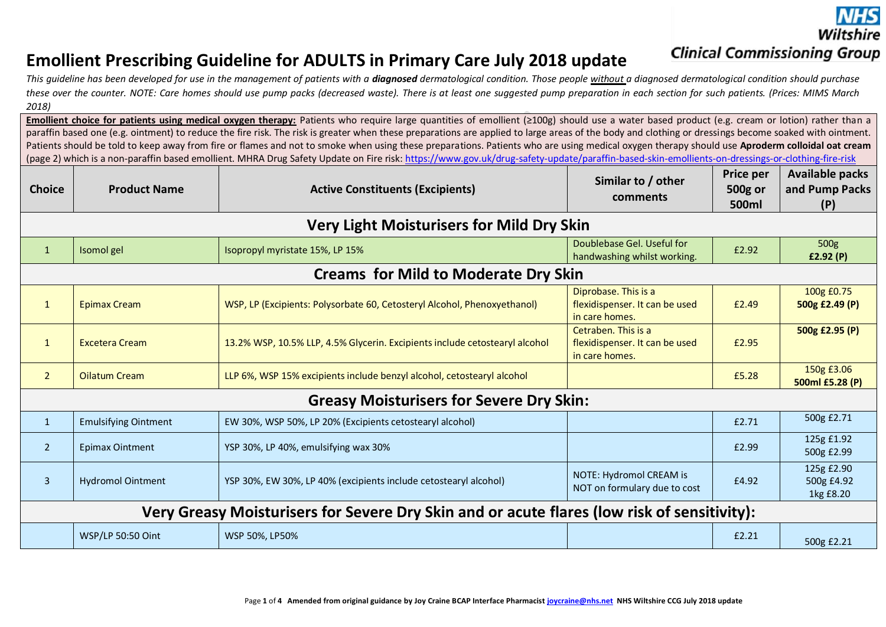Wiltshire **Clinical Commissioning Group** 

# **Emollient Prescribing Guideline for ADULTS in Primary Care July 2018 update**

This quideline has been developed for use in the management of patients with a **diagnosed** dermatological condition. Those people without a diagnosed dermatological condition should purchase these over the counter. NOTE: Care homes should use pump packs (decreased waste). There is at least one suggested pump preparation in each section for such patients. (Prices: MIMS March *2018)*

**Emollient choice for patients using medical oxygen therapy:** Patients who require large quantities of emollient (≥100g) should use a water based product (e.g. cream or lotion) rather than a paraffin based one (e.g. ointment) to reduce the fire risk. The risk is greater when these preparations are applied to large areas of the body and clothing or dressings become soaked with ointment. Patients should be told to keep away from fire or flames and not to smoke when using these preparations. Patients who are using medical oxygen therapy should use **Aproderm colloidal oat cream** (page 2) which is a non-paraffin based emollient. MHRA Drug Safety Update on Fire risk:<https://www.gov.uk/drug-safety-update/paraffin-based-skin-emollients-on-dressings-or-clothing-fire-risk>

| <b>Choice</b>                                                                               | <b>Product Name</b>                             | <b>Active Constituents (Excipients)</b>                                                                                                              | Similar to / other<br>comments                                          | <b>Price per</b><br>500g or<br>500ml | <b>Available packs</b><br>and Pump Packs<br>(P) |  |  |
|---------------------------------------------------------------------------------------------|-------------------------------------------------|------------------------------------------------------------------------------------------------------------------------------------------------------|-------------------------------------------------------------------------|--------------------------------------|-------------------------------------------------|--|--|
|                                                                                             |                                                 | <b>Very Light Moisturisers for Mild Dry Skin</b>                                                                                                     |                                                                         |                                      |                                                 |  |  |
| $\mathbf{1}$                                                                                | Isomol gel                                      | Doublebase Gel. Useful for<br>Isopropyl myristate 15%, LP 15%<br>handwashing whilst working.                                                         |                                                                         |                                      | 500g<br>f2.92(P)                                |  |  |
|                                                                                             |                                                 | <b>Creams for Mild to Moderate Dry Skin</b>                                                                                                          |                                                                         |                                      |                                                 |  |  |
| $\mathbf{1}$                                                                                | <b>Epimax Cream</b>                             | Diprobase. This is a<br>WSP, LP (Excipients: Polysorbate 60, Cetosteryl Alcohol, Phenoxyethanol)<br>flexidispenser. It can be used<br>in care homes. |                                                                         | £2.49                                | 100g £0.75<br>500g £2.49 (P)                    |  |  |
| $\mathbf{1}$                                                                                | <b>Excetera Cream</b>                           | 13.2% WSP, 10.5% LLP, 4.5% Glycerin. Excipients include cetostearyl alcohol                                                                          | Cetraben. This is a<br>flexidispenser. It can be used<br>in care homes. | £2.95                                | 500g £2.95 (P)                                  |  |  |
| $\overline{2}$                                                                              | <b>Oilatum Cream</b>                            | LLP 6%, WSP 15% excipients include benzyl alcohol, cetostearyl alcohol                                                                               |                                                                         | £5.28                                | 150g £3.06<br>500ml £5.28 (P)                   |  |  |
|                                                                                             | <b>Greasy Moisturisers for Severe Dry Skin:</b> |                                                                                                                                                      |                                                                         |                                      |                                                 |  |  |
| $\mathbf{1}$                                                                                | <b>Emulsifying Ointment</b>                     | EW 30%, WSP 50%, LP 20% (Excipients cetostearyl alcohol)                                                                                             |                                                                         | £2.71                                | 500g £2.71                                      |  |  |
| $\overline{2}$                                                                              | <b>Epimax Ointment</b>                          | YSP 30%, LP 40%, emulsifying wax 30%                                                                                                                 |                                                                         | £2.99                                | 125g £1.92<br>500g £2.99                        |  |  |
| $\overline{3}$                                                                              | <b>Hydromol Ointment</b>                        | YSP 30%, EW 30%, LP 40% (excipients include cetostearyl alcohol)                                                                                     | NOTE: Hydromol CREAM is<br>NOT on formulary due to cost                 | £4.92                                | 125g £2.90<br>500g £4.92<br>1kg £8.20           |  |  |
| Very Greasy Moisturisers for Severe Dry Skin and or acute flares (low risk of sensitivity): |                                                 |                                                                                                                                                      |                                                                         |                                      |                                                 |  |  |
|                                                                                             | WSP/LP 50:50 Oint                               | WSP 50%, LP50%                                                                                                                                       |                                                                         | £2.21                                | 500g £2.21                                      |  |  |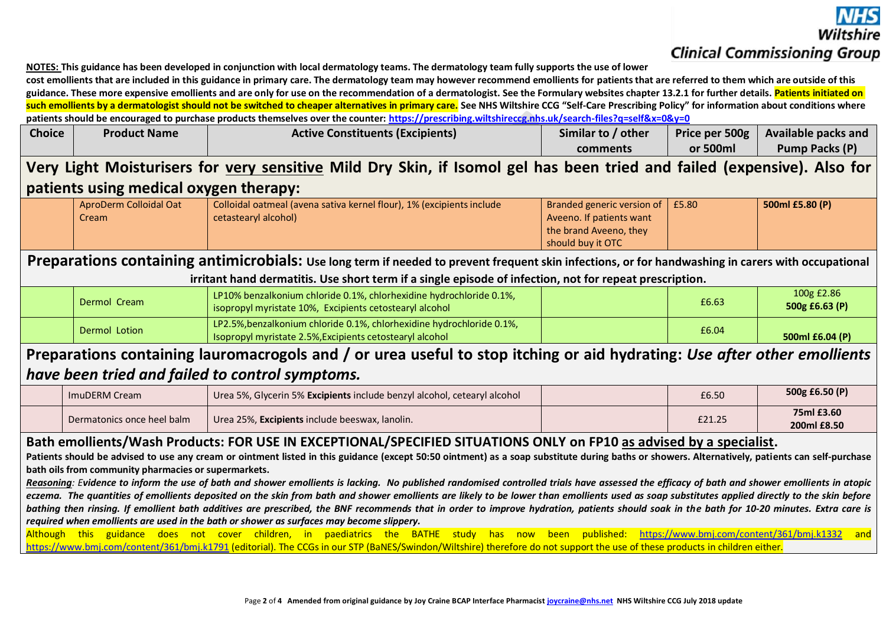**NOTES: This guidance has been developed in conjunction with local dermatology teams. The dermatology team fully supports the use of lower** 

**cost emollients that are included in this guidance in primary care. The dermatology team may however recommend emollients for patients that are referred to them which are outside of this**  guidance. These more expensive emollients and are only for use on the recommendation of a dermatologist. See the Formulary websites chapter 13.2.1 for further details. Patients initiated on such emollients by a dermatologist should not be switched to cheaper alternatives in primary care. See NHS Wiltshire CCG "Self-Care Prescribing Policy" for information about conditions where **patients should be encouraged to purchase products themselves over the counter:<https://prescribing.wiltshireccg.nhs.uk/search-files?q=self&x=0&y=0>**

| <b>Choice</b> | <b>Product Name</b> | <b>Active Constituents (Excipients)</b> | Similar to / other | Price per 500g | <b>Available packs and</b> |
|---------------|---------------------|-----------------------------------------|--------------------|----------------|----------------------------|
|               |                     |                                         | comments           | or 500ml       | Pump Packs (P)             |

# **Very Light Moisturisers for very sensitive Mild Dry Skin, if Isomol gel has been tried and failed (expensive). Also for patients using medical oxygen therapy:**

| AproDerm Colloidal Oat | Colloidal oatmeal (avena sativa kernel flour), 1% (excipients include | <b>U</b> Branded generic version of $\vert$ £5.80 | 500ml £5.80 (P) |
|------------------------|-----------------------------------------------------------------------|---------------------------------------------------|-----------------|
| Cream                  | cetastearyl alcohol)                                                  | Aveeno. If patients want                          |                 |
|                        |                                                                       | the brand Aveeno, they                            |                 |
|                        |                                                                       | should buy it OTC                                 |                 |

## **Preparations containing antimicrobials: Use long term if needed to prevent frequent skin infections, or for handwashing in carers with occupational irritant hand dermatitis. Use short term if a single episode of infection, not for repeat prescription.**

| Dermol Cream  | LP10% benzalkonium chloride 0.1%, chlorhexidine hydrochloride 0.1%,<br>isopropyl myristate 10%, Excipients cetostearyl alcohol    | £6.63 | 100g £2.86<br>500g £6.63 $(P)$ |
|---------------|-----------------------------------------------------------------------------------------------------------------------------------|-------|--------------------------------|
| Dermol Lotion | LP2.5%, benzalkonium chloride 0.1%, chlorhexidine hydrochloride 0.1%,<br>Isopropyl myristate 2.5%, Excipients cetostearyl alcohol | £6.04 | 500ml £6.04 (P)                |

# **Preparations containing lauromacrogols and / or urea useful to stop itching or aid hydrating:** *Use after other emollients have been tried and failed to control symptoms.*

| ImuDERM Cream              | Urea 5%, Glycerin 5% Excipients include benzyl alcohol, cetearyl alcohol | £6.50  | 500g £6.50 (P)            |
|----------------------------|--------------------------------------------------------------------------|--------|---------------------------|
| Dermatonics once heel balm | Urea 25%, Excipients include beeswax, lanolin.                           | £21.25 | 75ml £3.60<br>200ml £8.50 |

## **Bath emollients/Wash Products: FOR USE IN EXCEPTIONAL/SPECIFIED SITUATIONS ONLY on FP10 as advised by a specialist.**

**Patients should be advised to use any cream or ointment listed in this guidance (except 50:50 ointment) as a soap substitute during baths or showers. Alternatively, patients can self-purchase bath oils from community pharmacies or supermarkets.**

*Reasoning: Evidence to inform the use of bath and shower emollients is lacking. No published randomised controlled trials have assessed the efficacy of bath and shower emollients in atopic eczema. The quantities of emollients deposited on the skin from bath and shower emollients are likely to be lower than emollients used as soap substitutes applied directly to the skin before bathing then rinsing. If emollient bath additives are prescribed, the BNF recommends that in order to improve hydration, patients should soak in the bath for 10-20 minutes. Extra care is required when emollients are used in the bath or shower as surfaces may become slippery.*

Although this guidance does not cover children, in paediatrics the BATHE study has now been published: <https://www.bmj.com/content/361/bmj.k1332> and <https://www.bmj.com/content/361/bmj.k1791> (editorial). The CCGs in our STP (BaNES/Swindon/Wiltshire) therefore do not support the use of these products in children either.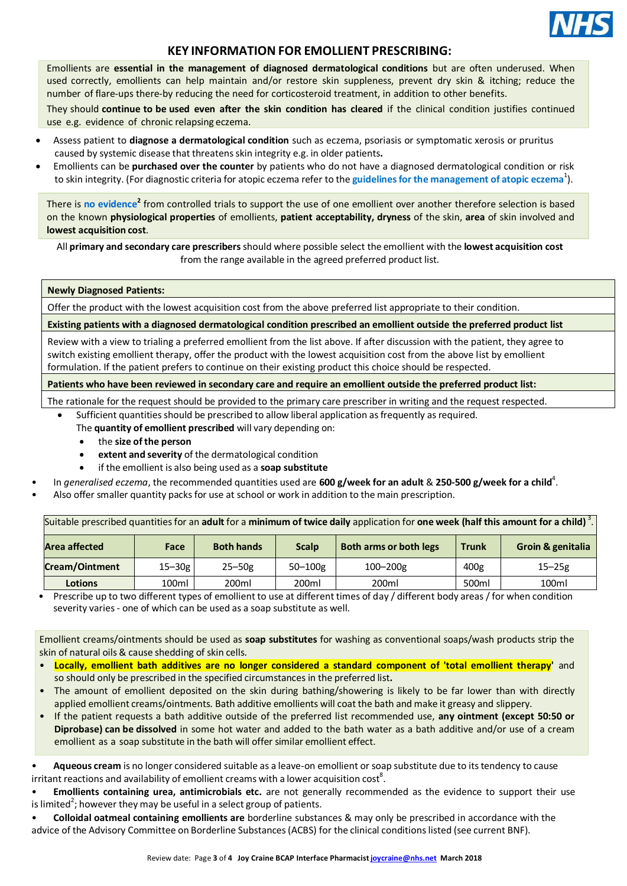

## **KEY INFORMATION FOR EMOLLIENT PRESCRIBING:**

Emollients are **essential in the management of diagnosed dermatological conditions** but are often underused. When used correctly, emollients can help maintain and/or restore skin suppleness, prevent dry skin & itching; reduce the number of flare-ups there-by reducing the need for corticosteroid treatment, in addition to other benefits.

They should **continue to be used even after the skin condition has cleared** if the clinical condition justifies continued use e.g. evidence of chronic relapsing eczema.

- Assess patient to **diagnose a dermatological condition** such as eczema, psoriasis or symptomatic xerosis or pruritus caused by systemic disease that threatensskin integrity e.g. in older patients**.**
- Emollients can be **purchased over the counter** by patients who do not have a diagnosed dermatological condition or risk to skin integrity. (For diagnostic criteria for atopic eczema refer to the **[guidelinesfor](http://www.bad.org.uk/Portals/_Bad/Guidelines/Clinical%20Guidelines/PCDS-BAD%20Eczema%20reviewed%202010.pdf) the management of atopic eczema** 1 ).

There is no [evidence](http://cks.nice.org.uk/dermatitis-contact#!prescribinginfosub%3A3)<sup>2</sup> from controlled trials to support the use of one emollient over another therefore selection is based on the known **physiological properties** of emollients, **patient acceptability, dryness** of the skin, **area** of skin involved and **lowest acquisition cost**.

All **primary and secondary care prescribers** should where possible select the emollient with the **lowest acquisition cost** from the range available in the agreed preferred product list.

#### **Newly Diagnosed Patients:**

Offer the product with the lowest acquisition cost from the above preferred list appropriate to their condition.

**Existing patients with a diagnosed dermatological condition prescribed an emollient outside the preferred product list**

Review with a view to trialing a preferred emollient from the list above. If after discussion with the patient, they agree to switch existing emollient therapy, offer the product with the lowest acquisition cost from the above list by emollient formulation. If the patient prefers to continue on their existing product this choice should be respected.

**Patients who have been reviewed in secondary care and require an emollient outside the preferred product list:**

The rationale for the request should be provided to the primary care prescriber in writing and the request respected.

Sufficient quantities should be prescribed to allow liberal application as frequently as required.

The **quantity of emollient prescribed** will vary depending on:

- the **size of the person**
- **extent and severity** of the dermatological condition
- if the emollient is also being used as a **soap substitute**
- In *generalised eczema*, the recommended quantities used are **600 g/week for an adult** & **250-500 g/week for a child** 4 .
- Also offer smaller quantity packs for use at school or work in addition to the main prescription.

Suitable prescribed quantitiesfor an **adult** for a **minimum of twice daily** application for **one week (half this amount for a child)** <sup>3</sup> .

| <b>Area affected</b>  | Face       | <b>Both hands</b> | <b>Scalp</b> | <b>Both arms or both legs</b> | Trunk | Groin & genitalia |
|-----------------------|------------|-------------------|--------------|-------------------------------|-------|-------------------|
| <b>Cream/Ointment</b> | $15 - 30g$ | $25 - 50g$        | $50 - 100g$  | $100 - 200g$                  | 400g  | $15 - 25g$        |
| <b>Lotions</b>        | 100ml      | 200ml             | 200ml        | 200ml                         | 500ml | 100ml             |
|                       | .          | .                 | .            | .                             |       |                   |

• Prescribe up to two different types of emollient to use at different times of day / different body areas /for when condition severity varies- one of which can be used as a soap substitute as well.

Emollient creams/ointments should be used as **soap substitutes** for washing as conventional soaps/wash products strip the skin of natural oils & cause shedding of skin cells.

- **Locally, emollient bath additives are no longer considered a standard component of 'total emollient therapy'** and so should only be prescribed in the specified circumstances in the preferred list**.**
- The amount of emollient deposited on the skin during bathing/showering is likely to be far lower than with directly applied emollient creams/ointments. Bath additive emollients will coat the bath and make it greasy and slippery.
- If the patient requests a bath additive outside of the preferred list recommended use, **any ointment (except 50:50 or Diprobase) can be dissolved** in some hot water and added to the bath water as a bath additive and/or use of a cream emollient as a soap substitute in the bath will offer similar emollient effect.

Aqueous cream is no longer considered suitable as a leave-on emollient or soap substitute due to its tendency to cause irritant reactions and availability of emollient creams with a lower acquisition  $\cos^8$ .

• **Emollients containing urea, antimicrobials etc.** are not generally recommended as the evidence to support their use is limited<sup>2</sup>; however they may be useful in a select group of patients.

• **Colloidal oatmeal containing emollients are** borderline substances & may only be prescribed in accordance with the advice of the Advisory Committee on Borderline Substances (ACBS) for the clinical conditions listed (see current BNF).